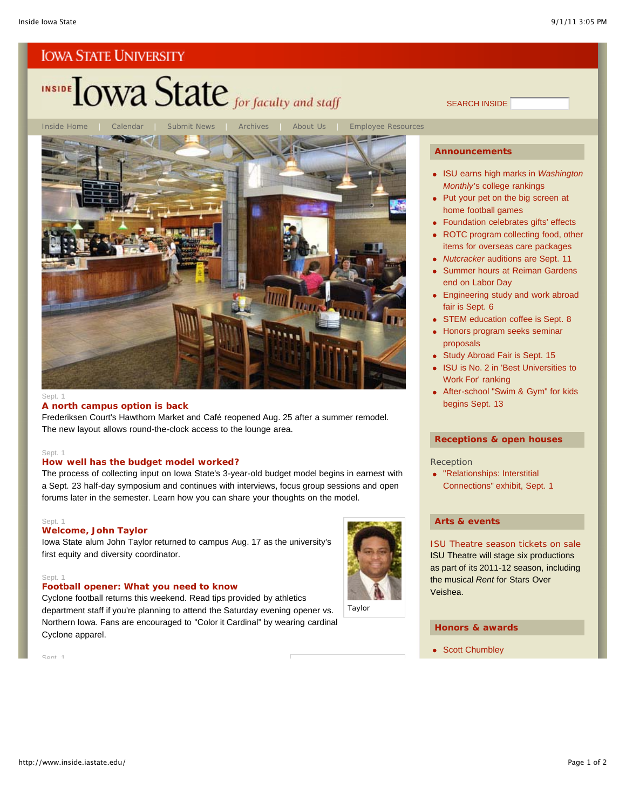# INSIDE TOWA State for faculty and staff

Inside Home | Calendar | Submit News | Archives | About Us | Employee Resources

#### Sept. 1

#### **A north campus option is back**

Frederiksen Court's Hawthorn Market and Café reopened Aug. 25 after a summer remodel. The new layout allows round-the-clock access to the lounge area.

#### Sept. 1

#### **How well has the budget model worked?**

The process of collecting input on Iowa State's 3-year-old budget model begins in earnest with a Sept. 23 half-day symposium and continues with interviews, focus group sessions and open forums later in the semester. Learn how you can share your thoughts on the model.

#### Sept. 1

#### **Welcome, John Taylor**

Iowa State alum John Taylor returned to campus Aug. 17 as the university's first equity and diversity coordinator.

#### Sept<sub>1</sub>

#### **Football opener: What you need to know**

Cyclone football returns this weekend. Read tips provided by athletics department staff if you're planning to attend the Saturday evening opener vs. Northern Iowa. Fans are encouraged to "Color it Cardinal" by wearing cardinal Cyclone apparel.



#### **Announcements**

SEARCH INSIDE

- ISU earns high marks in *Washington Monthly*'s college rankings
- Put your pet on the big screen at home football games
- Foundation celebrates gifts' effects
- ROTC program collecting food, other items for overseas care packages
- *Nutcracker* auditions are Sept. 11
- **Summer hours at Reiman Gardens** end on Labor Day
- **Engineering study and work abroad** fair is Sept. 6
- STEM education coffee is Sept. 8
- Honors program seeks seminar
- proposals
- Study Abroad Fair is Sept. 15
- ISU is No. 2 in 'Best Universities to Work For' ranking
- **After-school "Swim & Gym" for kids** begins Sept. 13

#### **Receptions & open houses**

#### Reception

"Relationships: Interstitial Connections" exhibit, Sept. 1

#### **Arts & events**

ISU Theatre season tickets on sale ISU Theatre will stage six productions as part of its 2011-12 season, including the musical *Rent* for Stars Over Veishea.

#### **Honors & awards**

• Scott Chumbley

Taylor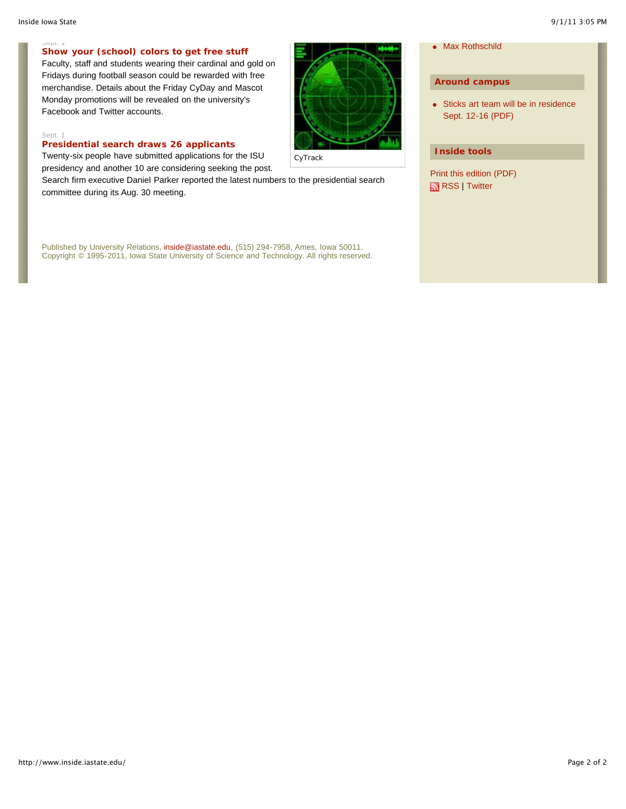#### Sept. 1 **Show your (school) colors to get free stuff**

Faculty, staff and students wearing their cardinal and gold on Fridays during football season could be rewarded with free merchandise. Details about the Friday CyDay and Mascot Monday promotions will be revealed on the university's Facebook and Twitter accounts.

#### Sept. 1

#### **Presidential search draws 26 applicants**

Twenty-six people have submitted applications for the ISU presidency and another 10 are considering seeking the post.

Search firm executive Daniel Parker reported the latest numbers to the presidential search committee during its Aug. 30 meeting.

Published by University Relations, inside@iastate.edu, (515) 294-7958, Ames, Iowa 50011. Copyright © 1995-2011, Iowa State University of Science and Technology. All rights reserved.



• Max Rothschild

#### **Around campus**

• Sticks art team will be in residence Sept. 12-16 (PDF)

#### **Inside tools**

Print this edition (PDF) RSS | Twitter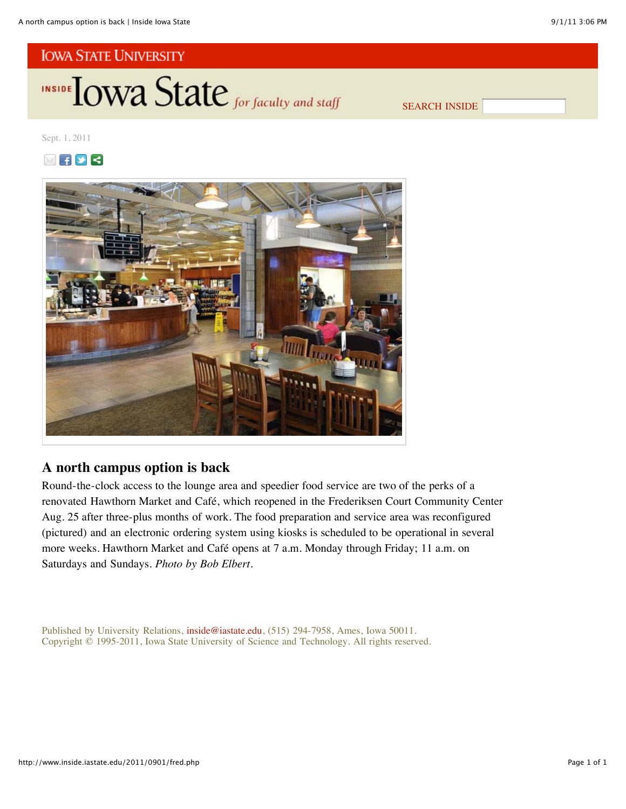

SEARCH INSIDE

Sept. 1, 2011





# **A north campus option is back**

Round-the-clock access to the lounge area and speedier food service are two of the perks of a renovated Hawthorn Market and Café, which reopened in the Frederiksen Court Community Center Aug. 25 after three-plus months of work. The food preparation and service area was reconfigured (pictured) and an electronic ordering system using kiosks is scheduled to be operational in several more weeks. Hawthorn Market and Café opens at 7 a.m. Monday through Friday; 11 a.m. on Saturdays and Sundays. *Photo by Bob Elbert.*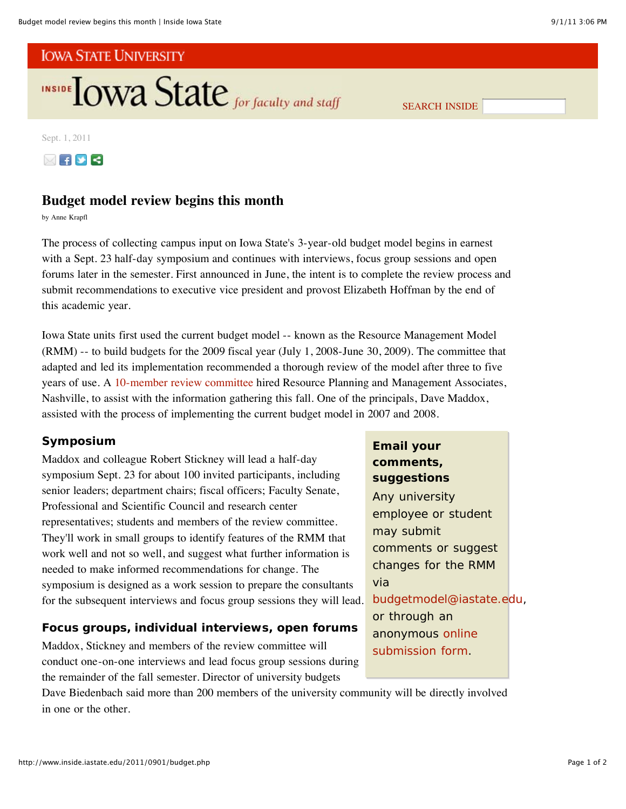

SEARCH INSIDE

Sept. 1, 2011



# **Budget model review begins this month**

by Anne Krapfl

The process of collecting campus input on Iowa State's 3-year-old budget model begins in earnest with a Sept. 23 half-day symposium and continues with interviews, focus group sessions and open forums later in the semester. First announced in June, the intent is to complete the review process and submit recommendations to executive vice president and provost Elizabeth Hoffman by the end of this academic year.

Iowa State units first used the current budget model -- known as the Resource Management Model (RMM) -- to build budgets for the 2009 fiscal year (July 1, 2008-June 30, 2009). The committee that adapted and led its implementation recommended a thorough review of the model after three to five years of use. A 10-member review committee hired Resource Planning and Management Associates, Nashville, to assist with the information gathering this fall. One of the principals, Dave Maddox, assisted with the process of implementing the current budget model in 2007 and 2008.

# **Symposium**

Maddox and colleague Robert Stickney will lead a half-day symposium Sept. 23 for about 100 invited participants, including senior leaders; department chairs; fiscal officers; Faculty Senate, Professional and Scientific Council and research center representatives; students and members of the review committee. They'll work in small groups to identify features of the RMM that work well and not so well, and suggest what further information is needed to make informed recommendations for change. The symposium is designed as a work session to prepare the consultants for the subsequent interviews and focus group sessions they will lead.

# **Focus groups, individual interviews, open forums**

Maddox, Stickney and members of the review committee will conduct one-on-one interviews and lead focus group sessions during the remainder of the fall semester. Director of university budgets

Dave Biedenbach said more than 200 members of the university community will be directly involved in one or the other.

**comments, suggestions** Any university employee or student may submit comments or suggest changes for the RMM via budgetmodel@iastate.edu, or through an anonymous online

submission form.

**Email your**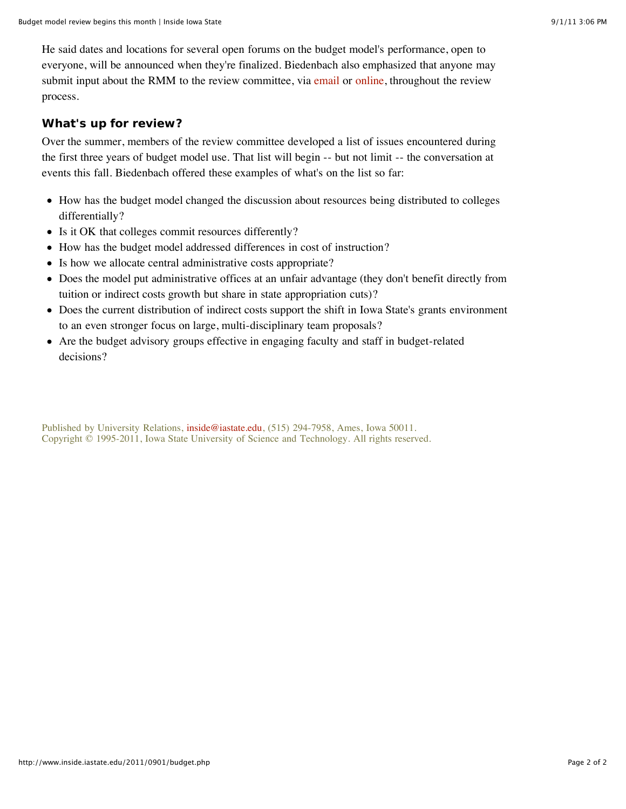He said dates and locations for several open forums on the budget model's performance, open to everyone, will be announced when they're finalized. Biedenbach also emphasized that anyone may submit input about the RMM to the review committee, via email or online, throughout the review process.

# **What's up for review?**

Over the summer, members of the review committee developed a list of issues encountered during the first three years of budget model use. That list will begin -- but not limit -- the conversation at events this fall. Biedenbach offered these examples of what's on the list so far:

- How has the budget model changed the discussion about resources being distributed to colleges differentially?
- Is it OK that colleges commit resources differently?
- How has the budget model addressed differences in cost of instruction?
- Is how we allocate central administrative costs appropriate?
- Does the model put administrative offices at an unfair advantage (they don't benefit directly from tuition or indirect costs growth but share in state appropriation cuts)?
- Does the current distribution of indirect costs support the shift in Iowa State's grants environment to an even stronger focus on large, multi-disciplinary team proposals?
- Are the budget advisory groups effective in engaging faculty and staff in budget-related decisions?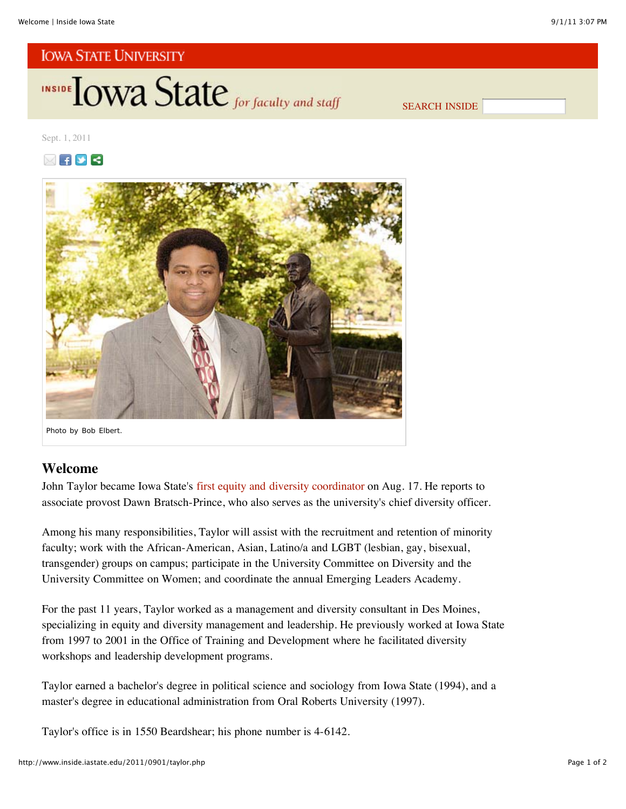

SEARCH INSIDE

Sept. 1, 2011





# **Welcome**

John Taylor became Iowa State's first equity and diversity coordinator on Aug. 17. He reports to associate provost Dawn Bratsch-Prince, who also serves as the university's chief diversity officer.

Among his many responsibilities, Taylor will assist with the recruitment and retention of minority faculty; work with the African-American, Asian, Latino/a and LGBT (lesbian, gay, bisexual, transgender) groups on campus; participate in the University Committee on Diversity and the University Committee on Women; and coordinate the annual Emerging Leaders Academy.

For the past 11 years, Taylor worked as a management and diversity consultant in Des Moines, specializing in equity and diversity management and leadership. He previously worked at Iowa State from 1997 to 2001 in the Office of Training and Development where he facilitated diversity workshops and leadership development programs.

Taylor earned a bachelor's degree in political science and sociology from Iowa State (1994), and a master's degree in educational administration from Oral Roberts University (1997).

Taylor's office is in 1550 Beardshear; his phone number is 4-6142.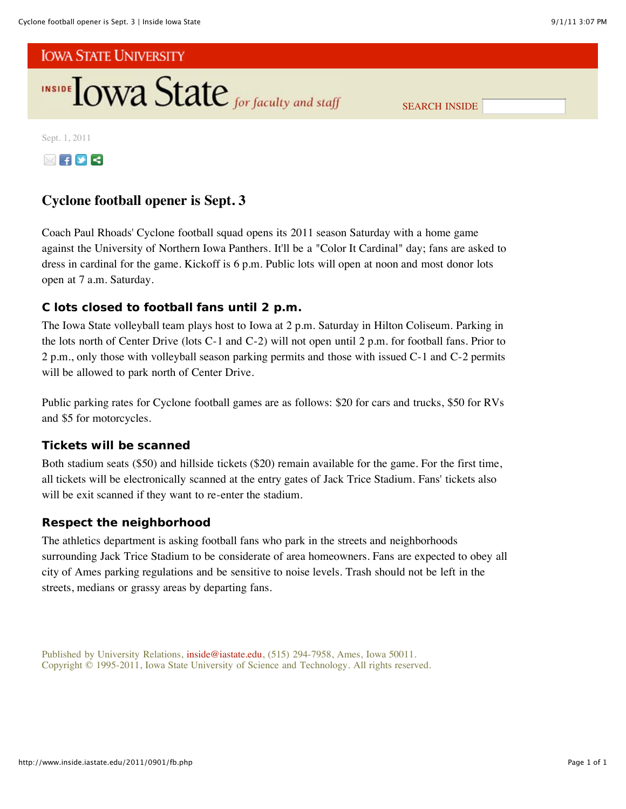

SEARCH INSIDE

Sept. 1, 2011



# **Cyclone football opener is Sept. 3**

Coach Paul Rhoads' Cyclone football squad opens its 2011 season Saturday with a home game against the University of Northern Iowa Panthers. It'll be a "Color It Cardinal" day; fans are asked to dress in cardinal for the game. Kickoff is 6 p.m. Public lots will open at noon and most donor lots open at 7 a.m. Saturday.

# **C lots closed to football fans until 2 p.m.**

The Iowa State volleyball team plays host to Iowa at 2 p.m. Saturday in Hilton Coliseum. Parking in the lots north of Center Drive (lots C-1 and C-2) will not open until 2 p.m. for football fans. Prior to 2 p.m., only those with volleyball season parking permits and those with issued C-1 and C-2 permits will be allowed to park north of Center Drive.

Public parking rates for Cyclone football games are as follows: \$20 for cars and trucks, \$50 for RVs and \$5 for motorcycles.

## **Tickets will be scanned**

Both stadium seats (\$50) and hillside tickets (\$20) remain available for the game. For the first time, all tickets will be electronically scanned at the entry gates of Jack Trice Stadium. Fans' tickets also will be exit scanned if they want to re-enter the stadium.

## **Respect the neighborhood**

The athletics department is asking football fans who park in the streets and neighborhoods surrounding Jack Trice Stadium to be considerate of area homeowners. Fans are expected to obey all city of Ames parking regulations and be sensitive to noise levels. Trash should not be left in the streets, medians or grassy areas by departing fans.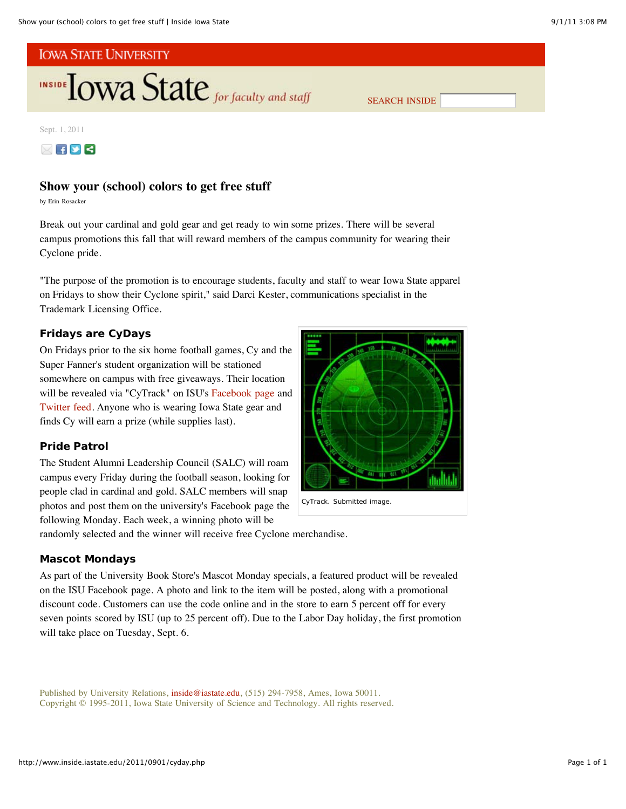

SEARCH INSIDE

Sept. 1, 2011

 $\boxtimes$   $\rightarrow$   $\rightarrow$ 

## **Show your (school) colors to get free stuff**

by Erin Rosacker

Break out your cardinal and gold gear and get ready to win some prizes. There will be several campus promotions this fall that will reward members of the campus community for wearing their Cyclone pride.

"The purpose of the promotion is to encourage students, faculty and staff to wear Iowa State apparel on Fridays to show their Cyclone spirit," said Darci Kester, communications specialist in the Trademark Licensing Office.

## **Fridays are CyDays**

On Fridays prior to the six home football games, Cy and the Super Fanner's student organization will be stationed somewhere on campus with free giveaways. Their location will be revealed via "CyTrack" on ISU's Facebook page and Twitter feed. Anyone who is wearing Iowa State gear and finds Cy will earn a prize (while supplies last).

## **Pride Patrol**

The Student Alumni Leadership Council (SALC) will roam campus every Friday during the football season, looking for people clad in cardinal and gold. SALC members will snap photos and post them on the university's Facebook page the following Monday. Each week, a winning photo will be



randomly selected and the winner will receive free Cyclone merchandise.

## **Mascot Mondays**

As part of the University Book Store's Mascot Monday specials, a featured product will be revealed on the ISU Facebook page. A photo and link to the item will be posted, along with a promotional discount code. Customers can use the code online and in the store to earn 5 percent off for every seven points scored by ISU (up to 25 percent off). Due to the Labor Day holiday, the first promotion will take place on Tuesday, Sept. 6.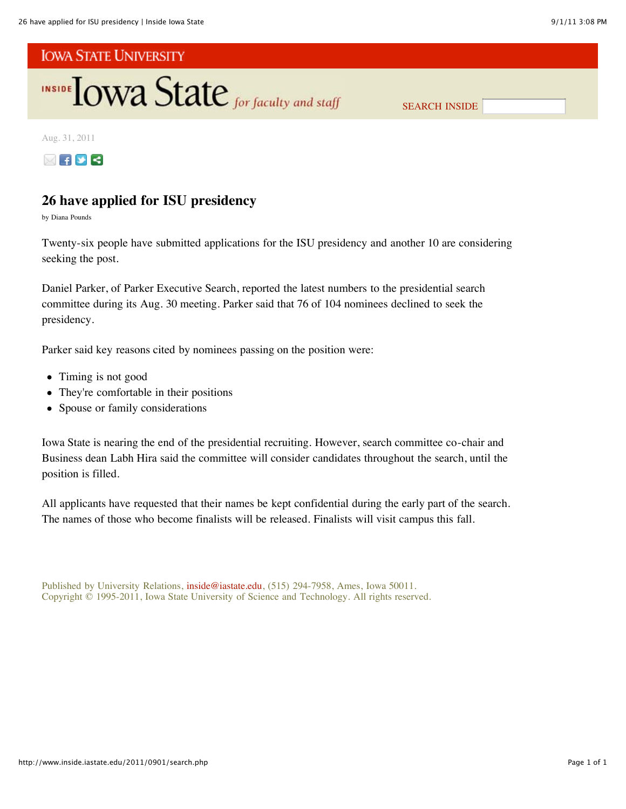

SEARCH INSIDE

Aug. 31, 2011



# **26 have applied for ISU presidency**

by Diana Pounds

Twenty-six people have submitted applications for the ISU presidency and another 10 are considering seeking the post.

Daniel Parker, of Parker Executive Search, reported the latest numbers to the presidential search committee during its Aug. 30 meeting. Parker said that 76 of 104 nominees declined to seek the presidency.

Parker said key reasons cited by nominees passing on the position were:

- Timing is not good
- They're comfortable in their positions
- $\bullet$ Spouse or family considerations

Iowa State is nearing the end of the presidential recruiting. However, search committee co-chair and Business dean Labh Hira said the committee will consider candidates throughout the search, until the position is filled.

All applicants have requested that their names be kept confidential during the early part of the search. The names of those who become finalists will be released. Finalists will visit campus this fall.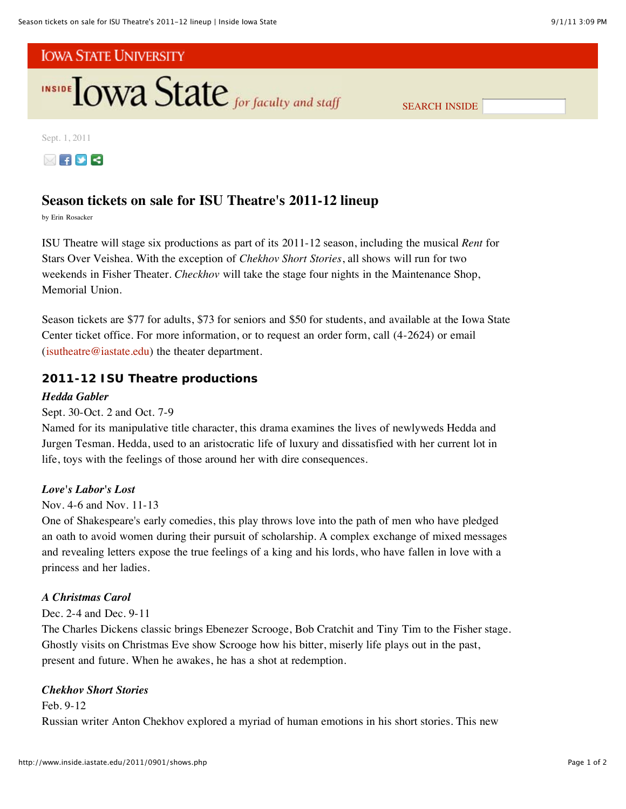

SEARCH INSIDE

Sept. 1, 2011



# **Season tickets on sale for ISU Theatre's 2011-12 lineup**

by Erin Rosacker

ISU Theatre will stage six productions as part of its 2011-12 season, including the musical *Rent* for Stars Over Veishea. With the exception of *Chekhov Short Stories*, all shows will run for two weekends in Fisher Theater. *Checkhov* will take the stage four nights in the Maintenance Shop, Memorial Union.

Season tickets are \$77 for adults, \$73 for seniors and \$50 for students, and available at the Iowa State Center ticket office. For more information, or to request an order form, call (4-2624) or email  $(i$ sutheatre@iastate.edu) the theater department.

## **2011-12 ISU Theatre productions**

## *Hedda Gabler*

Sept. 30-Oct. 2 and Oct. 7-9

Named for its manipulative title character, this drama examines the lives of newlyweds Hedda and Jurgen Tesman. Hedda, used to an aristocratic life of luxury and dissatisfied with her current lot in life, toys with the feelings of those around her with dire consequences.

## *Love's Labor's Lost*

## Nov. 4-6 and Nov. 11-13

One of Shakespeare's early comedies, this play throws love into the path of men who have pledged an oath to avoid women during their pursuit of scholarship. A complex exchange of mixed messages and revealing letters expose the true feelings of a king and his lords, who have fallen in love with a princess and her ladies.

## *A Christmas Carol*

## Dec. 2-4 and Dec. 9-11

The Charles Dickens classic brings Ebenezer Scrooge, Bob Cratchit and Tiny Tim to the Fisher stage. Ghostly visits on Christmas Eve show Scrooge how his bitter, miserly life plays out in the past, present and future. When he awakes, he has a shot at redemption.

## *Chekhov Short Stories*

### Feb. 9-12

Russian writer Anton Chekhov explored a myriad of human emotions in his short stories. This new